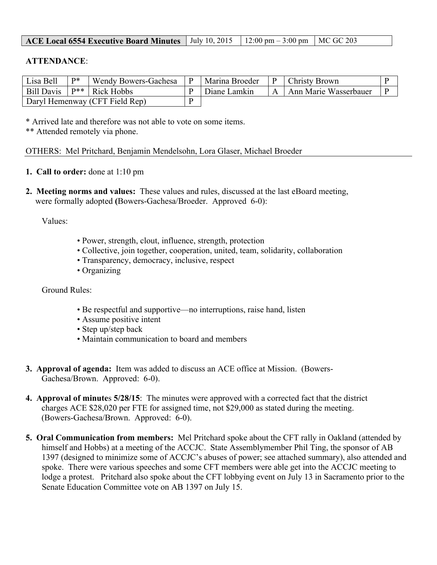| <b>ACE Local 6554 Executive Board Minutes</b>   July 10, 2015   12:00 pm – 3:00 pm   MC GC 203 |  |  |  |
|------------------------------------------------------------------------------------------------|--|--|--|
|------------------------------------------------------------------------------------------------|--|--|--|

## **ATTENDANCE**:

| Lisa Bell  | $\mathbf{D}^*$ | Wendy Bowers-Gachesa           | Marina Broeder |   | <b>Christy Brown</b>  |  |
|------------|----------------|--------------------------------|----------------|---|-----------------------|--|
| Bill Davis |                | $\mathbb{P}^{**}$ Rick Hobbs   | Diane Lamkin   | A | Ann Marie Wasserbauer |  |
|            |                | Daryl Hemenway (CFT Field Rep) |                |   |                       |  |

\* Arrived late and therefore was not able to vote on some items.

\*\* Attended remotely via phone.

OTHERS: Mel Pritchard, Benjamin Mendelsohn, Lora Glaser, Michael Broeder

- **1. Call to order:** done at 1:10 pm
- **2. Meeting norms and values:** These values and rules, discussed at the last eBoard meeting, were formally adopted **(**Bowers-Gachesa/Broeder. Approved 6-0):

Values:

- Power, strength, clout, influence, strength, protection
- Collective, join together, cooperation, united, team, solidarity, collaboration
- Transparency, democracy, inclusive, respect
- Organizing

Ground Rules:

- Be respectful and supportive—no interruptions, raise hand, listen
- Assume positive intent
- Step up/step back
- Maintain communication to board and members
- **3. Approval of agenda:** Item was added to discuss an ACE office at Mission. (Bowers-Gachesa/Brown. Approved: 6-0).
- **4. Approval of minute**s **5/28/15**: The minutes were approved with a corrected fact that the district charges ACE \$28,020 per FTE for assigned time, not \$29,000 as stated during the meeting. (Bowers-Gachesa/Brown. Approved: 6-0).
- **5. Oral Communication from members:** Mel Pritchard spoke about the CFT rally in Oakland (attended by himself and Hobbs) at a meeting of the ACCJC. State Assemblymember Phil Ting, the sponsor of AB 1397 (designed to minimize some of ACCJC's abuses of power; see attached summary), also attended and spoke. There were various speeches and some CFT members were able get into the ACCJC meeting to lodge a protest. Pritchard also spoke about the CFT lobbying event on July 13 in Sacramento prior to the Senate Education Committee vote on AB 1397 on July 15.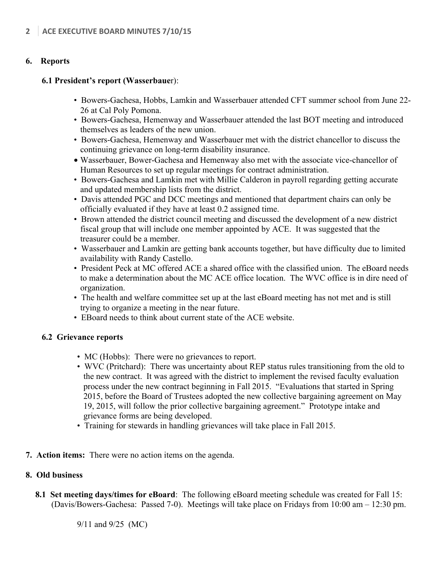## **6. Reports**

## **6.1 President's report (Wasserbaue**r):

- Bowers-Gachesa, Hobbs, Lamkin and Wasserbauer attended CFT summer school from June 22- 26 at Cal Poly Pomona.
- Bowers-Gachesa, Hemenway and Wasserbauer attended the last BOT meeting and introduced themselves as leaders of the new union.
- Bowers-Gachesa, Hemenway and Wasserbauer met with the district chancellor to discuss the continuing grievance on long-term disability insurance.
- Wasserbauer, Bower-Gachesa and Hemenway also met with the associate vice-chancellor of Human Resources to set up regular meetings for contract administration.
- Bowers-Gachesa and Lamkin met with Millie Calderon in payroll regarding getting accurate and updated membership lists from the district.
- Davis attended PGC and DCC meetings and mentioned that department chairs can only be officially evaluated if they have at least 0.2 assigned time.
- Brown attended the district council meeting and discussed the development of a new district fiscal group that will include one member appointed by ACE. It was suggested that the treasurer could be a member.
- Wasserbauer and Lamkin are getting bank accounts together, but have difficulty due to limited availability with Randy Castello.
- President Peck at MC offered ACE a shared office with the classified union. The eBoard needs to make a determination about the MC ACE office location. The WVC office is in dire need of organization.
- The health and welfare committee set up at the last eBoard meeting has not met and is still trying to organize a meeting in the near future.
- EBoard needs to think about current state of the ACE website.

#### **6.2 Grievance reports**

- MC (Hobbs): There were no grievances to report.
- WVC (Pritchard): There was uncertainty about REP status rules transitioning from the old to the new contract. It was agreed with the district to implement the revised faculty evaluation process under the new contract beginning in Fall 2015. "Evaluations that started in Spring 2015, before the Board of Trustees adopted the new collective bargaining agreement on May 19, 2015, will follow the prior collective bargaining agreement." Prototype intake and grievance forms are being developed.
- Training for stewards in handling grievances will take place in Fall 2015.
- **7. Action items:** There were no action items on the agenda.

# **8. Old business**

**8.1 Set meeting days/times for eBoard**: The following eBoard meeting schedule was created for Fall 15: (Davis/Bowers-Gachesa: Passed 7-0). Meetings will take place on Fridays from 10:00 am – 12:30 pm.

9/11 and 9/25 (MC)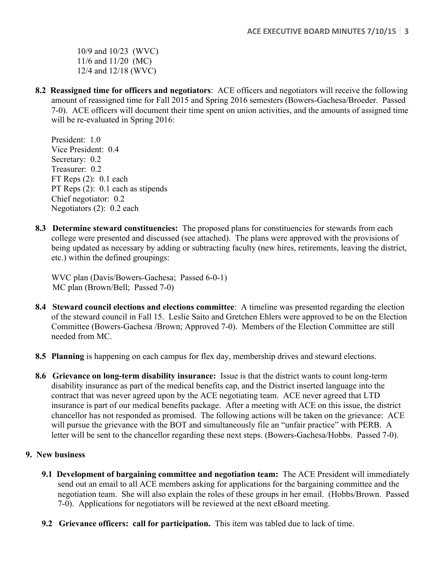10/9 and 10/23 (WVC) 11/6 and 11/20 (MC) 12/4 and 12/18 (WVC)

**8.2 Reassigned time for officers and negotiators**: ACE officers and negotiators will receive the following amount of reassigned time for Fall 2015 and Spring 2016 semesters (Bowers-Gachesa/Broeder. Passed 7-0). ACE officers will document their time spent on union activities, and the amounts of assigned time will be re-evaluated in Spring 2016:

President: 1.0 Vice President: 0.4 Secretary:  $0.2$ Treasurer: 0.2 FT Reps (2): 0.1 each PT Reps  $(2)$ : 0.1 each as stipends Chief negotiator: 0.2 Negotiators (2): 0.2 each

**8.3 Determine steward constituencies:** The proposed plans for constituencies for stewards from each college were presented and discussed (see attached). The plans were approved with the provisions of being updated as necessary by adding or subtracting faculty (new hires, retirements, leaving the district, etc.) within the defined groupings:

WVC plan (Davis/Bowers-Gachesa; Passed 6-0-1) MC plan (Brown/Bell; Passed 7-0)

- **8.4 Steward council elections and elections committee**: A timeline was presented regarding the election of the steward council in Fall 15. Leslie Saito and Gretchen Ehlers were approved to be on the Election Committee (Bowers-Gachesa /Brown; Approved 7-0). Members of the Election Committee are still needed from MC.
- **8.5 Planning** is happening on each campus for flex day, membership drives and steward elections.
- **8.6 Grievance on long-term disability insurance:** Issue is that the district wants to count long-term disability insurance as part of the medical benefits cap, and the District inserted language into the contract that was never agreed upon by the ACE negotiating team. ACE never agreed that LTD insurance is part of our medical benefits package. After a meeting with ACE on this issue, the district chancellor has not responded as promised. The following actions will be taken on the grievance: ACE will pursue the grievance with the BOT and simultaneously file an "unfair practice" with PERB. A letter will be sent to the chancellor regarding these next steps. (Bowers-Gachesa/Hobbs. Passed 7-0).

# **9. New business**

- **9.1 Development of bargaining committee and negotiation team:** The ACE President will immediately send out an email to all ACE members asking for applications for the bargaining committee and the negotiation team. She will also explain the roles of these groups in her email. (Hobbs/Brown. Passed 7-0). Applications for negotiators will be reviewed at the next eBoard meeting.
- **9.2 Grievance officers: call for participation.** This item was tabled due to lack of time.